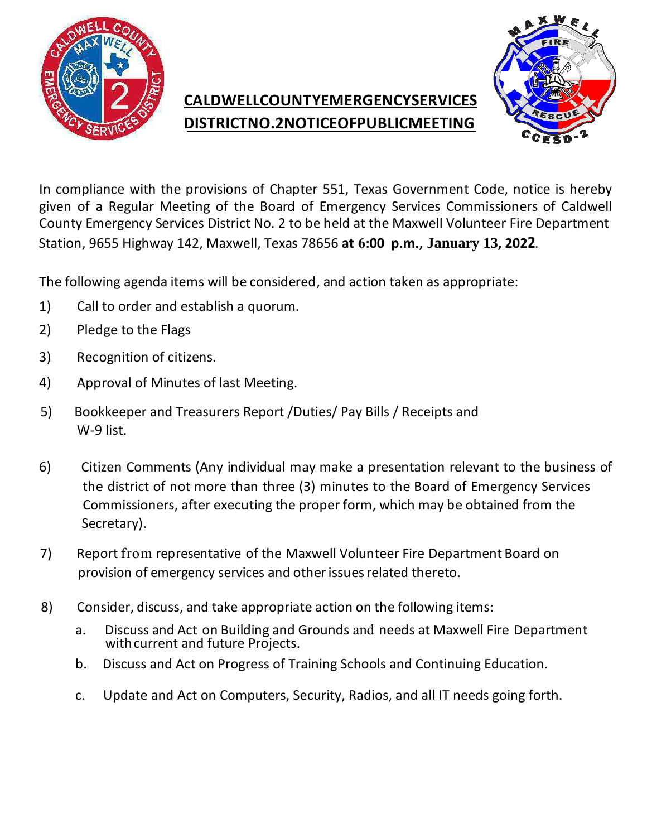

## **CALDWELLCOUNTYEMERGENCYSERVICES DISTRICTNO.2NOTICEOFPUBLICMEETING**



In compliance with the provisions of Chapter 551, Texas Government Code, notice is hereby given of a Regular Meeting of the Board of Emergency Services Commissioners of Caldwell County Emergency Services District No. 2 to be held at the Maxwell Volunteer Fire Department Station, 9655 Highway 142, Maxwell, Texas 78656 **at 6:00 p.m., January 13, 2022**.

The following agenda items will be considered, and action taken as appropriate:

- 1) Call to order and establish a quorum.
- 2) Pledge to the Flags
- 3) Recognition of citizens.
- 4) Approval of Minutes of last Meeting.
- 5) Bookkeeper and Treasurers Report /Duties/ Pay Bills / Receipts and W-9 list.
- 6) Citizen Comments (Any individual may make a presentation relevant to the business of Secretary). the district of not more than three (3) minutes to the Board of Emergency Services Com missioners, after executing the proper form, which may be obtained from the
	- 7) Report from representative of the Maxwell Volunteer Fire Department Board on provision of emergency services and other issues related thereto.
	- 8) Consider, discuss, and take appropriate action on the following items:
		- a. Discuss and Act on Building and Grounds and needs at Maxwell Fire Department with current and future Projects.
		- b. Discuss and Act on Progress of Training Schools and Continuing Education.
		- c. Update and Act on Computers, Security, Radios, and all IT needs going forth.